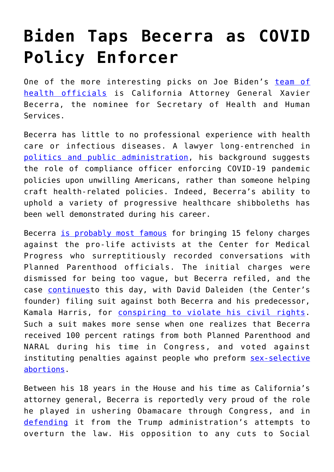## **[Biden Taps Becerra as COVID](https://intellectualtakeout.org/2020/12/biden-taps-becerra-as-covid-policy-enforcer/) [Policy Enforcer](https://intellectualtakeout.org/2020/12/biden-taps-becerra-as-covid-policy-enforcer/)**

One of the more interesting picks on Joe Biden's [team of](https://www.cnn.com/2020/12/07/politics/biden-health-team-coronavirus/index.html) [health officials](https://www.cnn.com/2020/12/07/politics/biden-health-team-coronavirus/index.html) is California Attorney General Xavier Becerra, the nominee for Secretary of Health and Human Services.

Becerra has little to no professional experience with health care or infectious diseases. A lawyer long-entrenched in [politics and public administration,](https://www.govinfo.gov/content/pkg/CDIR-2004-01-01/pdf/CDIR-2004-01-01-CA-H-31.pdf) his background suggests the role of compliance officer enforcing COVID-19 pandemic policies upon unwilling Americans, rather than someone helping craft health-related policies. Indeed, Becerra's ability to uphold a variety of progressive healthcare shibboleths has been well demonstrated during his career.

Becerra [is probably most famous](https://www.nytimes.com/2017/03/29/us/planned-parenthood-video-charges.html) for bringing 15 felony charges against the pro-life activists at the Center for Medical Progress who surreptitiously recorded conversations with Planned Parenthood officials. The initial charges were dismissed for being too vague, but Becerra refiled, and the case **continues**to this day, with David Daleiden (the Center's founder) filing suit against both Becerra and his predecessor, Kamala Harris, for [conspiring to violate his civil rights.](https://www.foxnews.com/politics/daleiden-suing-kamala-harris-california) Such a suit makes more sense when one realizes that Becerra received 100 percent ratings from both Planned Parenthood and NARAL during his time in Congress, and voted against instituting penalties against people who preform [sex-selective](https://justfacts.votesmart.org/public-statement/698938/capac-members-denounce-attack-on-reproductive-rights#.UKrwMaX3C8o) [abortions.](https://justfacts.votesmart.org/public-statement/698938/capac-members-denounce-attack-on-reproductive-rights#.UKrwMaX3C8o)

Between his 18 years in the House and his time as California's attorney general, Becerra is reportedly very proud of the role he played in ushering Obamacare through Congress, and in [defending](https://www.sandiegouniontribune.com/news/california/story/2020-12-06/biden-picks-calif-ag-becerra-to-lead-hhs-pandemic-response) it from the Trump administration's attempts to overturn the law. His opposition to any cuts to Social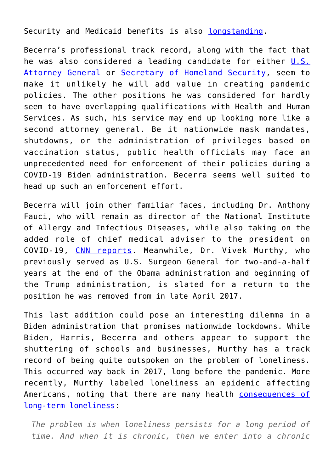Security and Medicaid benefits is also [longstanding.](http://votesmart.org/public-statement/738585/xavier-becerra-dnc-speech#.UKrzPaX3C8o)

Becerra's professional track record, along with the fact that he was also considered a leading candidate for either [U.S.](https://www.nytimes.com/2020/11/11/us/politics/biden-cabinet.html) [Attorney General](https://www.nytimes.com/2020/11/11/us/politics/biden-cabinet.html) or [Secretary of Homeland Security](https://www.politico.com/news/2020/11/07/joe-biden-cabinet-picks-possible-choices-433431), seem to make it unlikely he will add value in creating pandemic policies. The other positions he was considered for hardly seem to have overlapping qualifications with Health and Human Services. As such, his service may end up looking more like a second attorney general. Be it nationwide mask mandates, shutdowns, or the administration of privileges based on vaccination status, public health officials may face an unprecedented need for enforcement of their policies during a COVID-19 Biden administration. Becerra seems well suited to head up such an enforcement effort.

Becerra will join other familiar faces, including Dr. Anthony Fauci, who will remain as director of the National Institute of Allergy and Infectious Diseases, while also taking on the added role of chief medical adviser to the president on COVID-19, [CNN reports.](https://www.cnn.com/2020/12/07/politics/biden-health-team-coronavirus/index.html) Meanwhile, Dr. Vivek Murthy, who previously served as U.S. Surgeon General for two-and-a-half years at the end of the Obama administration and beginning of the Trump administration, is slated for a return to the position he was removed from in late April 2017.

This last addition could pose an interesting dilemma in a Biden administration that promises nationwide lockdowns. While Biden, Harris, Becerra and others appear to support the shuttering of schools and businesses, Murthy has a track record of being quite outspoken on the problem of loneliness. This occurred way back in 2017, long before the pandemic. More recently, Murthy labeled loneliness an epidemic affecting Americans, noting that there are many health [consequences of](https://www.wbur.org/onpoint/2020/03/23/vivek-murthy-loneliness) [long-term loneliness](https://www.wbur.org/onpoint/2020/03/23/vivek-murthy-loneliness):

*The problem is when loneliness persists for a long period of time. And when it is chronic, then we enter into a chronic*